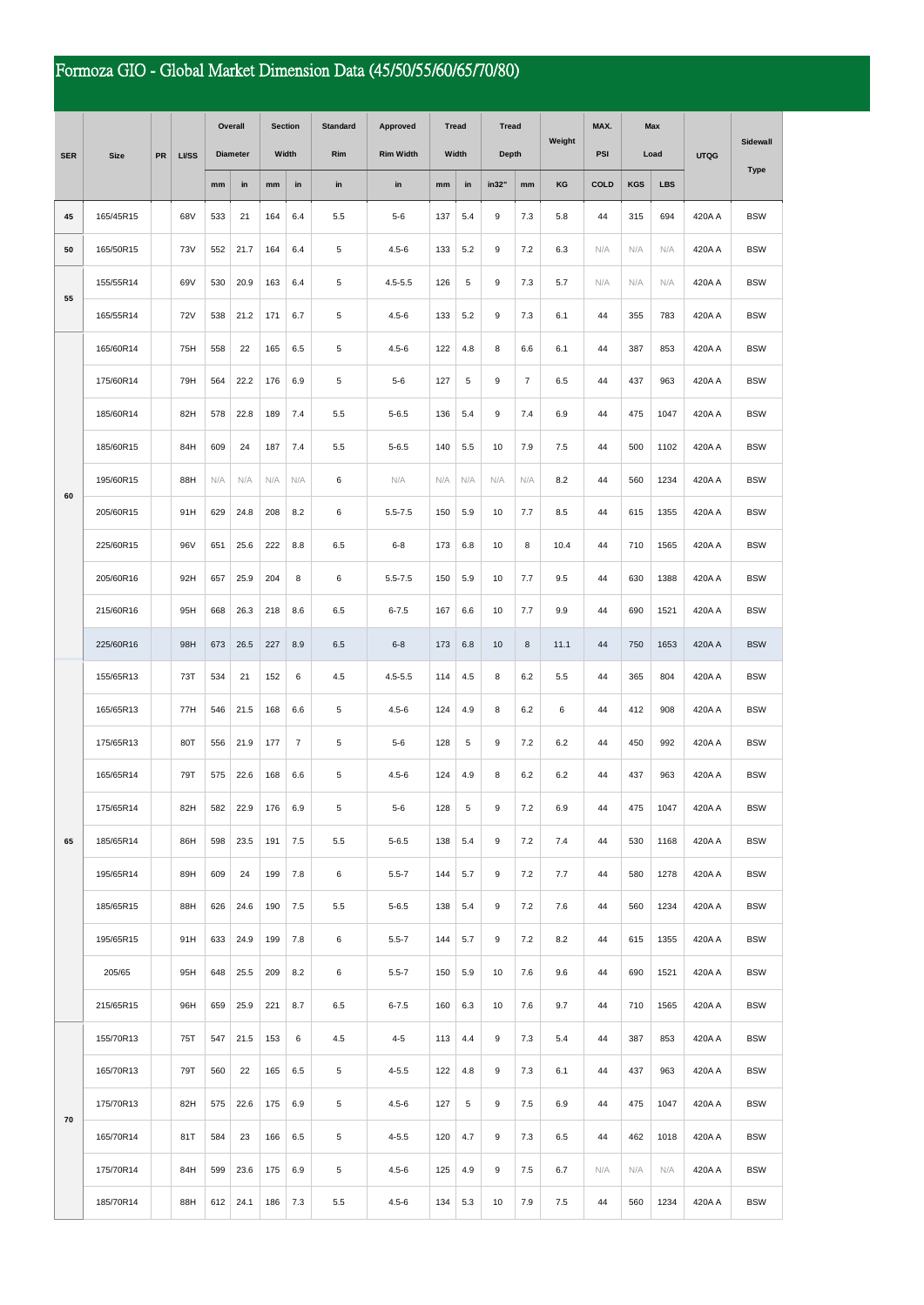## Formoza GIO - Global Market Dimension Data (45/50/55/60/65/70/80)

|            | <b>Size</b> | PR | <b>LVSS</b> | Overall         |      | <b>Section</b>                  |                | <b>Standard</b> | Approved         | <b>Tread</b> |             | <b>Tread</b> |                | Weight  | MAX. | Max        |            | <b>UTQG</b> | Sidewall    |
|------------|-------------|----|-------------|-----------------|------|---------------------------------|----------------|-----------------|------------------|--------------|-------------|--------------|----------------|---------|------|------------|------------|-------------|-------------|
| <b>SER</b> |             |    |             | <b>Diameter</b> |      | Width                           |                | Rim             | <b>Rim Width</b> | Width        |             | Depth        |                |         | PSI  | Load       |            |             |             |
|            |             |    |             | mm              | in   | $\mathop{\mathsf{mm}}\nolimits$ | in             | in              | in               | mm           | in          | in32"        | mm             | KG      | COLD | <b>KGS</b> | <b>LBS</b> |             | <b>Type</b> |
| 45         | 165/45R15   |    | 68V         | 533             | 21   | 164                             | 6.4            | 5.5             | $5 - 6$          | 137          | 5.4         | 9            | 7.3            | 5.8     | 44   | 315        | 694        | 420A A      | <b>BSW</b>  |
| 50         | 165/50R15   |    | <b>73V</b>  | 552             | 21.7 | 164                             | 6.4            | 5               | $4.5 - 6$        | 133          | 5.2         | 9            | 7.2            | 6.3     | N/A  | N/A        | N/A        | 420A A      | <b>BSW</b>  |
|            | 155/55R14   |    | 69V         | 530             | 20.9 | 163                             | 6.4            | 5               | $4.5 - 5.5$      | 126          | 5           | 9            | 7.3            | 5.7     | N/A  | N/A        | N/A        | 420A A      | <b>BSW</b>  |
| 55         | 165/55R14   |    | 72V         | 538             | 21.2 | 171                             | 6.7            | 5               | $4.5 - 6$        | 133          | 5.2         | 9            | 7.3            | 6.1     | 44   | 355        | 783        | 420A A      | <b>BSW</b>  |
|            | 165/60R14   |    | 75H         | 558             | 22   | 165                             | 6.5            | 5               | $4.5 - 6$        | 122          | 4.8         | 8            | 6.6            | 6.1     | 44   | 387        | 853        | 420A A      | <b>BSW</b>  |
|            | 175/60R14   |    | 79H         | 564             | 22.2 | 176                             | 6.9            | 5               | $5 - 6$          | 127          | $\,$ 5 $\,$ | 9            | $\overline{7}$ | 6.5     | 44   | 437        | 963        | 420A A      | <b>BSW</b>  |
|            | 185/60R14   |    | 82H         | 578             | 22.8 | 189                             | 7.4            | 5.5             | $5 - 6.5$        | 136          | 5.4         | 9            | 7.4            | 6.9     | 44   | 475        | 1047       | 420A A      | <b>BSW</b>  |
|            | 185/60R15   |    | 84H         | 609             | 24   | 187                             | 7.4            | 5.5             | $5 - 6.5$        | 140          | 5.5         | 10           | 7.9            | 7.5     | 44   | 500        | 1102       | 420A A      | <b>BSW</b>  |
|            | 195/60R15   |    | 88H         | N/A             | N/A  | N/A                             | N/A            | 6               | N/A              | N/A          | N/A         | N/A          | N/A            | 8.2     | 44   | 560        | 1234       | 420A A      | <b>BSW</b>  |
| 60         | 205/60R15   |    | 91H         | 629             | 24.8 | 208                             | 8.2            | 6               | $5.5 - 7.5$      | 150          | 5.9         | 10           | 7.7            | 8.5     | 44   | 615        | 1355       | 420A A      | <b>BSW</b>  |
|            | 225/60R15   |    | 96V         | 651             | 25.6 | 222                             | 8.8            | 6.5             | $6 - 8$          | 173          | 6.8         | 10           | 8              | 10.4    | 44   | 710        | 1565       | 420A A      | <b>BSW</b>  |
|            | 205/60R16   |    | 92H         | 657             | 25.9 | 204                             | 8              | 6               | $5.5 - 7.5$      | 150          | 5.9         | 10           | 7.7            | 9.5     | 44   | 630        | 1388       | 420A A      | <b>BSW</b>  |
|            | 215/60R16   |    | 95H         | 668             | 26.3 | 218                             | 8.6            | 6.5             | $6 - 7.5$        | 167          | 6.6         | 10           | 7.7            | 9.9     | 44   | 690        | 1521       | 420A A      | <b>BSW</b>  |
|            | 225/60R16   |    | 98H         | 673             | 26.5 | 227                             | 8.9            | 6.5             | $6 - 8$          | 173          | 6.8         | 10           | 8              | 11.1    | 44   | 750        | 1653       | 420A A      | <b>BSW</b>  |
|            | 155/65R13   |    | 73T         | 534             | 21   | 152                             | 6              | 4.5             | $4.5 - 5.5$      | 114          | 4.5         | 8            | 6.2            | 5.5     | 44   | 365        | 804        | 420A A      | <b>BSW</b>  |
|            | 165/65R13   |    | 77H         | 546             | 21.5 | 168                             | 6.6            | 5               | $4.5 - 6$        | 124          | 4.9         | 8            | 6.2            | 6       | 44   | 412        | 908        | 420A A      | <b>BSW</b>  |
|            | 175/65R13   |    | 80T         | 556             | 21.9 | 177                             | $\overline{7}$ | 5               | $5 - 6$          | 128          | 5           | 9            | 7.2            | 6.2     | 44   | 450        | 992        | 420A A      | <b>BSW</b>  |
|            | 165/65R14   |    | 79T         | 575             | 22.6 | 168                             | 6.6            | 5               | $4.5 - 6$        | 124          | 4.9         | 8            | 6.2            | 6.2     | 44   | 437        | 963        | 420A A      | <b>BSW</b>  |
|            | 175/65R14   |    | 82H         | 582             | 22.9 | 176                             | 6.9            | 5               | $5 - 6$          | 128          | 5           | 9            | $7.2\,$        | 6.9     | 44   | 475        | 1047       | 420A A      | <b>BSW</b>  |
| 65         | 185/65R14   |    | 86H         | 598             | 23.5 | 191                             | 7.5            | 5.5             | $5 - 6.5$        | 138          | 5.4         | 9            | 7.2            | 7.4     | 44   | 530        | 1168       | 420A A      | <b>BSW</b>  |
|            | 195/65R14   |    | 89H         | 609             | 24   | 199                             | 7.8            | 6               | $5.5 - 7$        | 144          | 5.7         | 9            | 7.2            | 7.7     | 44   | 580        | 1278       | 420A A      | <b>BSW</b>  |
|            | 185/65R15   |    | 88H         | 626             | 24.6 | 190                             | 7.5            | 5.5             | $5 - 6.5$        | 138          | 5.4         | 9            | 7.2            | 7.6     | 44   | 560        | 1234       | 420A A      | <b>BSW</b>  |
|            | 195/65R15   |    | 91H         | 633             | 24.9 | 199                             | 7.8            | 6               | $5.5 - 7$        | 144          | 5.7         | 9            | 7.2            | 8.2     | 44   | 615        | 1355       | 420A A      | <b>BSW</b>  |
|            | 205/65      |    | 95H         | 648             | 25.5 | 209                             | 8.2            | 6               | $5.5 - 7$        | 150          | 5.9         | 10           | 7.6            | 9.6     | 44   | 690        | 1521       | 420A A      | <b>BSW</b>  |
|            | 215/65R15   |    | 96H         | 659             | 25.9 | 221                             | 8.7            | 6.5             | $6 - 7.5$        | 160          | 6.3         | 10           | 7.6            | 9.7     | 44   | 710        | 1565       | 420A A      | <b>BSW</b>  |
|            | 155/70R13   |    | 75T         | 547             | 21.5 | 153                             | 6              | 4.5             | $4 - 5$          | 113          | 4.4         | 9            | 7.3            | 5.4     | 44   | 387        | 853        | 420A A      | <b>BSW</b>  |
|            | 165/70R13   |    | 79T         | 560             | 22   | 165                             | 6.5            | 5               | $4 - 5.5$        | 122          | 4.8         | 9            | 7.3            | 6.1     | 44   | 437        | 963        | 420A A      | <b>BSW</b>  |
| 70         | 175/70R13   |    | 82H         | 575             | 22.6 | 175                             | 6.9            | 5               | $4.5 - 6$        | 127          | 5           | 9            | 7.5            | 6.9     | 44   | 475        | 1047       | 420A A      | <b>BSW</b>  |
|            | 165/70R14   |    | 81T         | 584             | 23   | 166                             | 6.5            | 5               | $4 - 5.5$        | 120          | 4.7         | 9            | 7.3            | 6.5     | 44   | 462        | 1018       | 420A A      | <b>BSW</b>  |
|            | 175/70R14   |    | 84H         | 599             | 23.6 | 175                             | 6.9            | $\,$ 5 $\,$     | $4.5 - 6$        | 125          | 4.9         | 9            | 7.5            | 6.7     | N/A  | N/A        | N/A        | 420A A      | <b>BSW</b>  |
|            | 185/70R14   |    | 88H         | 612             | 24.1 | 186                             | 7.3            | $5.5\,$         | $4.5 - 6$        | 134          | 5.3         | 10           | 7.9            | $7.5\,$ | 44   | 560        | 1234       | 420A A      | <b>BSW</b>  |